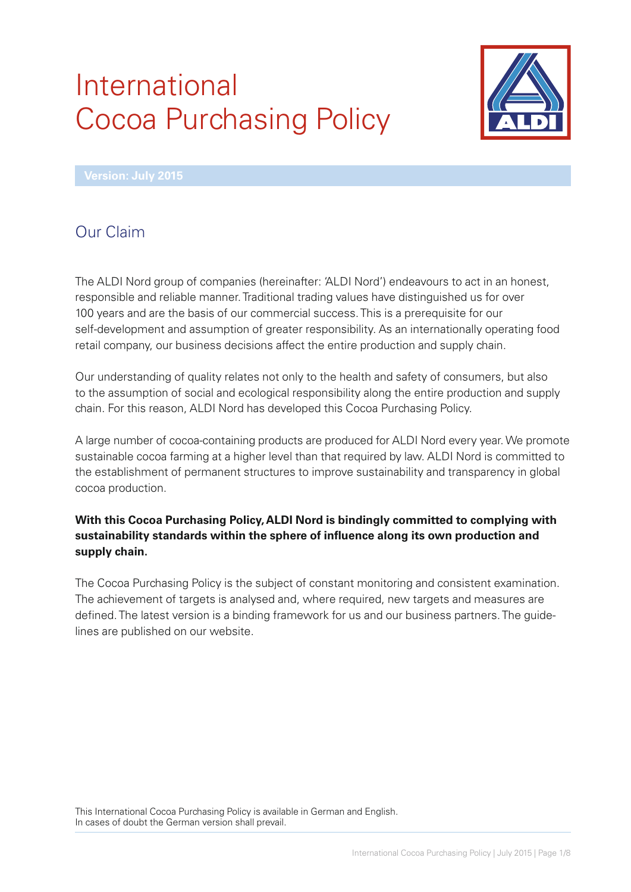# International Cocoa Purchasing Policy



# Our Claim

The ALDI Nord group of companies (hereinafter: 'ALDI Nord') endeavours to act in an honest, responsible and reliable manner. Traditional trading values have distinguished us for over 100 years and are the basis of our commercial success. This is a prerequisite for our self-development and assumption of greater responsibility. As an internationally operating food retail company, our business decisions affect the entire production and supply chain.

Our understanding of quality relates not only to the health and safety of consumers, but also to the assumption of social and ecological responsibility along the entire production and supply chain. For this reason, ALDI Nord has developed this Cocoa Purchasing Policy.

A large number of cocoa-containing products are produced for ALDI Nord every year. We promote sustainable cocoa farming at a higher level than that required by law. ALDI Nord is committed to the establishment of permanent structures to improve sustainability and transparency in global cocoa production.

#### **With this Cocoa Purchasing Policy, ALDI Nord is bindingly committed to complying with sustainability standards within the sphere of infl uence along its own production and supply chain.**

The Cocoa Purchasing Policy is the subject of constant monitoring and consistent examination. The achievement of targets is analysed and, where required, new targets and measures are defined. The latest version is a binding framework for us and our business partners. The guidelines are published on our website.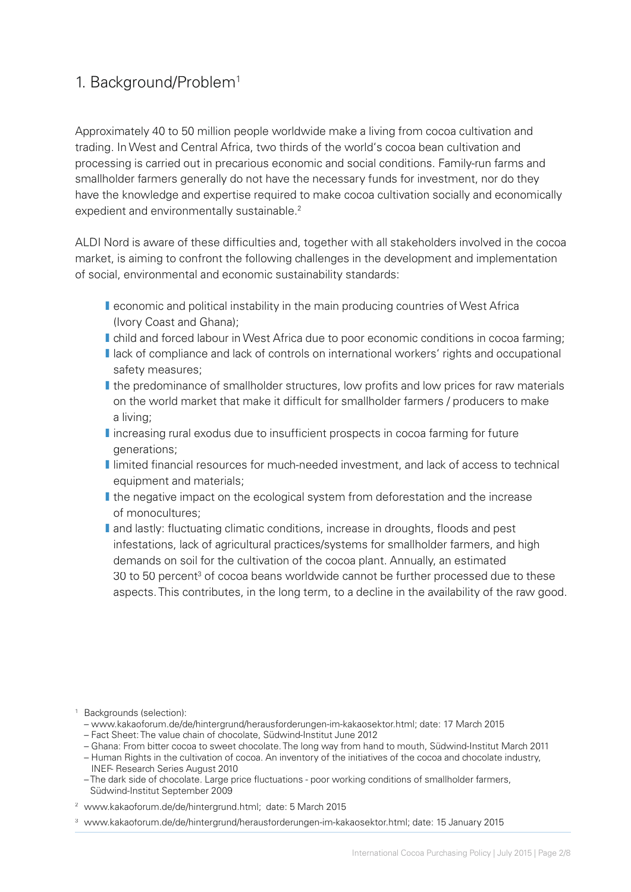## 1. Background/Problem1

Approximately 40 to 50 million people worldwide make a living from cocoa cultivation and trading. In West and Central Africa, two thirds of the world's cocoa bean cultivation and processing is carried out in precarious economic and social conditions. Family-run farms and smallholder farmers generally do not have the necessary funds for investment, nor do they have the knowledge and expertise required to make cocoa cultivation socially and economically expedient and environmentally sustainable.<sup>2</sup>

ALDI Nord is aware of these difficulties and, together with all stakeholders involved in the cocoa market, is aiming to confront the following challenges in the development and implementation of social, environmental and economic sustainability standards:

- **I** economic and political instability in the main producing countries of West Africa (Ivory Coast and Ghana);
- **I** child and forced labour in West Africa due to poor economic conditions in cocoa farming;
- **I** lack of compliance and lack of controls on international workers' rights and occupational safety measures;
- **I** the predominance of smallholder structures, low profits and low prices for raw materials on the world market that make it difficult for smallholder farmers / producers to make a living;
- **I** increasing rural exodus due to insufficient prospects in cocoa farming for future generations;
- **I** limited financial resources for much-needed investment, and lack of access to technical equipment and materials;
- **I** the negative impact on the ecological system from deforestation and the increase of monocultures;
- **I** and lastly: fluctuating climatic conditions, increase in droughts, floods and pest infestations, lack of agricultural practices/systems for smallholder farmers, and high demands on soil for the cultivation of the cocoa plant. Annually, an estimated 30 to 50 percent<sup>3</sup> of cocoa beans worldwide cannot be further processed due to these aspects. This contributes, in the long term, to a decline in the availability of the raw good.

<sup>1</sup> Backgrounds (selection):

- www.kakaoforum.de/de/hintergrund/herausforderungen-im-kakaosektor.html; date: 17 March 2015
- Fact Sheet: The value chain of chocolate, Südwind-Institut June 2012
- Ghana: From bitter cocoa to sweet chocolate. The long way from hand to mouth, Südwind-Institut March 2011
- Human Rights in the cultivation of cocoa. An inventory of the initiatives of the cocoa and chocolate industry, INEF- Research Series August 2010
- The dark side of chocolate. Large price fluctuations poor working conditions of smallholder farmers, Südwind-Institut September 2009
- <sup>2</sup> www.kakaoforum.de/de/hintergrund.html; date: 5 March 2015
- <sup>3</sup> www.kakaoforum.de/de/hintergrund/herausforderungen-im-kakaosektor.html; date: 15 January 2015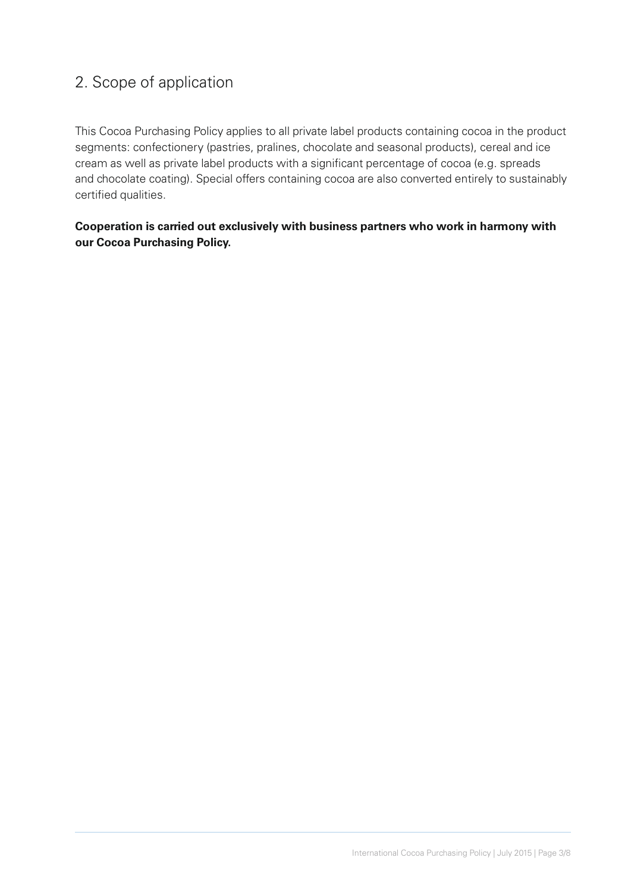## 2. Scope of application

This Cocoa Purchasing Policy applies to all private label products containing cocoa in the product segments: confectionery (pastries, pralines, chocolate and seasonal products), cereal and ice cream as well as private label products with a significant percentage of cocoa (e.g. spreads and chocolate coating). Special offers containing cocoa are also converted entirely to sustainably certified qualities.

#### **Cooperation is carried out exclusively with business partners who work in harmony with our Cocoa Purchasing Policy.**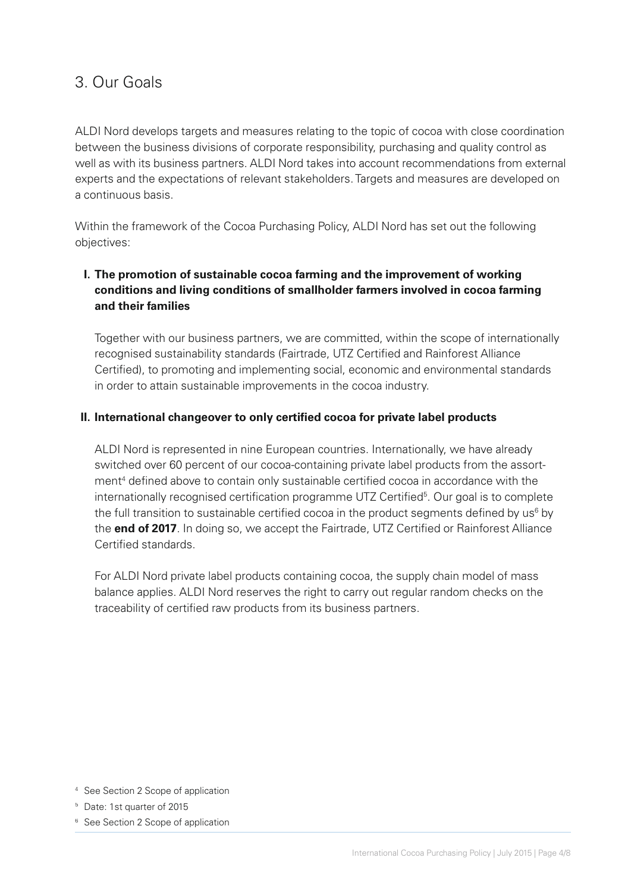### 3. Our Goals

ALDI Nord develops targets and measures relating to the topic of cocoa with close coordination between the business divisions of corporate responsibility, purchasing and quality control as well as with its business partners. ALDI Nord takes into account recommendations from external experts and the expectations of relevant stakeholders. Targets and measures are developed on a continuous basis.

Within the framework of the Cocoa Purchasing Policy, ALDI Nord has set out the following objectives:

#### **I. The promotion of sustainable cocoa farming and the improvement of working conditions and living conditions of smallholder farmers involved in cocoa farming and their families**

Together with our business partners, we are committed, within the scope of internationally recognised sustainability standards (Fairtrade, UTZ Certified and Rainforest Alliance Certified), to promoting and implementing social, economic and environmental standards in order to attain sustainable improvements in the cocoa industry.

#### **II. International changeover to only certified cocoa for private label products**

ALDI Nord is represented in nine European countries. Internationally, we have already switched over 60 percent of our cocoa-containing private label products from the assortment<sup>4</sup> defined above to contain only sustainable certified cocoa in accordance with the internationally recognised certification programme UTZ Certified<sup>5</sup>. Our goal is to complete the full transition to sustainable certified cocoa in the product segments defined by us<sup>6</sup> by the **end of 2017**. In doing so, we accept the Fairtrade, UTZ Certified or Rainforest Alliance Certified standards.

For ALDI Nord private label products containing cocoa, the supply chain model of mass balance applies. ALDI Nord reserves the right to carry out regular random checks on the traceability of certified raw products from its business partners.

- <sup>4</sup> See Section 2 Scope of application
- <sup>5</sup> Date: 1st quarter of 2015
- <sup>6</sup> See Section 2 Scope of application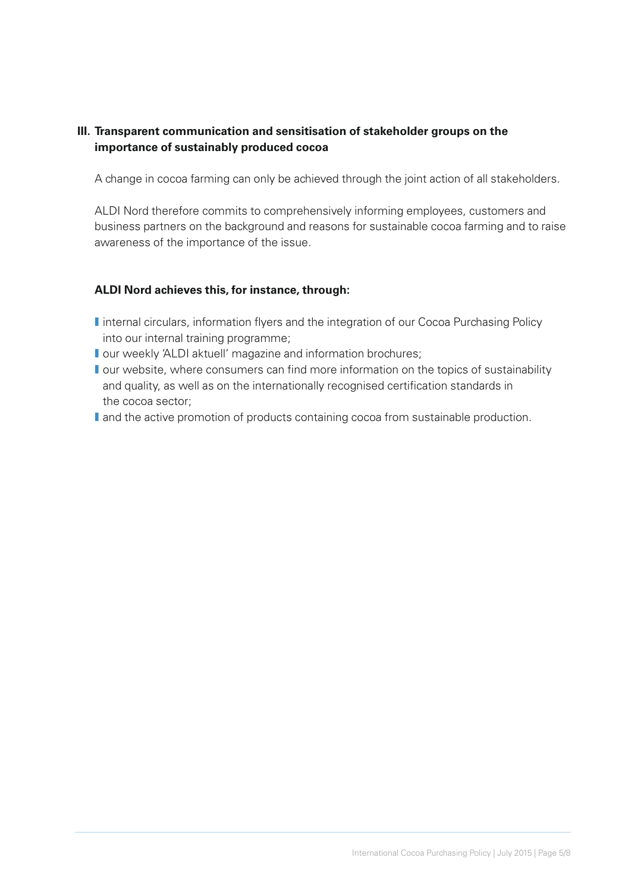#### **III. Transparent communication and sensitisation of stakeholder groups on the importance of sustainably produced cocoa**

A change in cocoa farming can only be achieved through the joint action of all stakeholders.

ALDI Nord therefore commits to comprehensively informing employees, customers and business partners on the background and reasons for sustainable cocoa farming and to raise awareness of the importance of the issue.

#### **ALDI Nord achieves this, for instance, through:**

- **I** internal circulars, information flyers and the integration of our Cocoa Purchasing Policy into our internal training programme;
- **I** our weekly 'ALDI aktuell' magazine and information brochures;
- **I** our website, where consumers can find more information on the topics of sustainability and quality, as well as on the internationally recognised certification standards in the cocoa sector;
- **I** and the active promotion of products containing cocoa from sustainable production.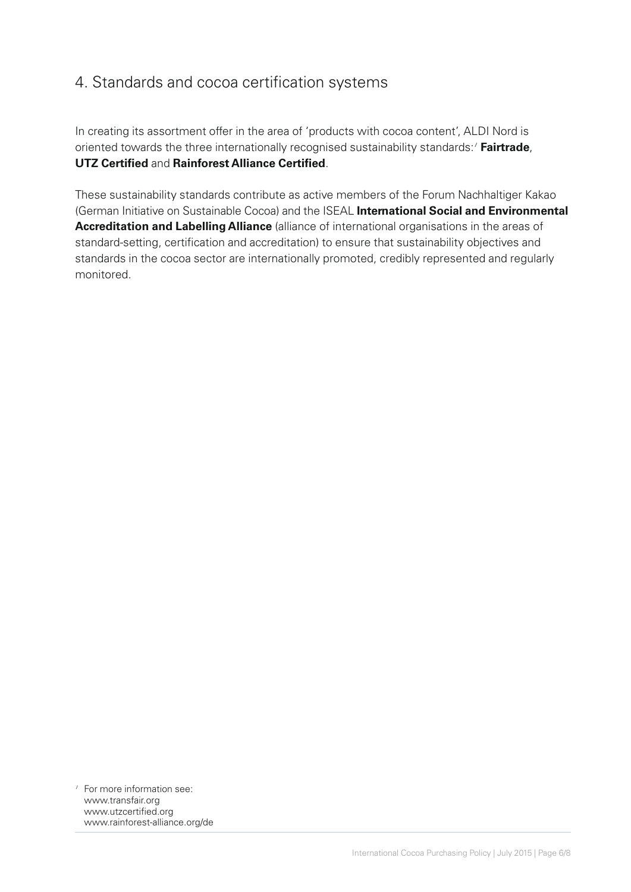## 4. Standards and cocoa certification systems

In creating its assortment offer in the area of 'products with cocoa content', ALDI Nord is oriented towards the three internationally recognised sustainability standards:7 **Fairtrade**, **UTZ Certified and Rainforest Alliance Certified.** 

These sustainability standards contribute as active members of the Forum Nachhaltiger Kakao (German Initiative on Sustainable Cocoa) and the ISEAL **International Social and Environmental Accreditation and Labelling Alliance** (alliance of international organisations in the areas of standard-setting, certification and accreditation) to ensure that sustainability objectives and standards in the cocoa sector are internationally promoted, credibly represented and regularly monitored.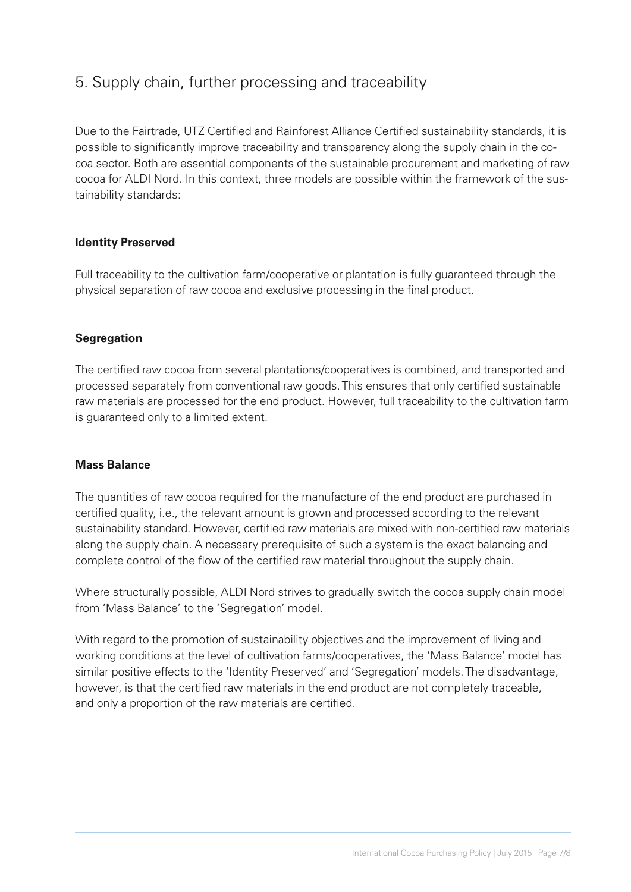## 5. Supply chain, further processing and traceability

Due to the Fairtrade, UTZ Certified and Rainforest Alliance Certified sustainability standards, it is possible to significantly improve traceability and transparency along the supply chain in the cocoa sector. Both are essential components of the sustainable procurement and marketing of raw cocoa for ALDI Nord. In this context, three models are possible within the framework of the sustainability standards:

#### **Identity Preserved**

Full traceability to the cultivation farm/cooperative or plantation is fully guaranteed through the physical separation of raw cocoa and exclusive processing in the final product.

#### **Segregation**

The certified raw cocoa from several plantations/cooperatives is combined, and transported and processed separately from conventional raw goods. This ensures that only certified sustainable raw materials are processed for the end product. However, full traceability to the cultivation farm is guaranteed only to a limited extent.

#### **Mass Balance**

The quantities of raw cocoa required for the manufacture of the end product are purchased in certified quality, i.e., the relevant amount is grown and processed according to the relevant sustainability standard. However, certified raw materials are mixed with non-certified raw materials along the supply chain. A necessary prerequisite of such a system is the exact balancing and complete control of the flow of the certified raw material throughout the supply chain.

Where structurally possible, ALDI Nord strives to gradually switch the cocoa supply chain model from 'Mass Balance' to the 'Segregation' model.

With regard to the promotion of sustainability objectives and the improvement of living and working conditions at the level of cultivation farms/cooperatives, the 'Mass Balance' model has similar positive effects to the 'Identity Preserved' and 'Segregation' models. The disadvantage, however, is that the certified raw materials in the end product are not completely traceable, and only a proportion of the raw materials are certified.